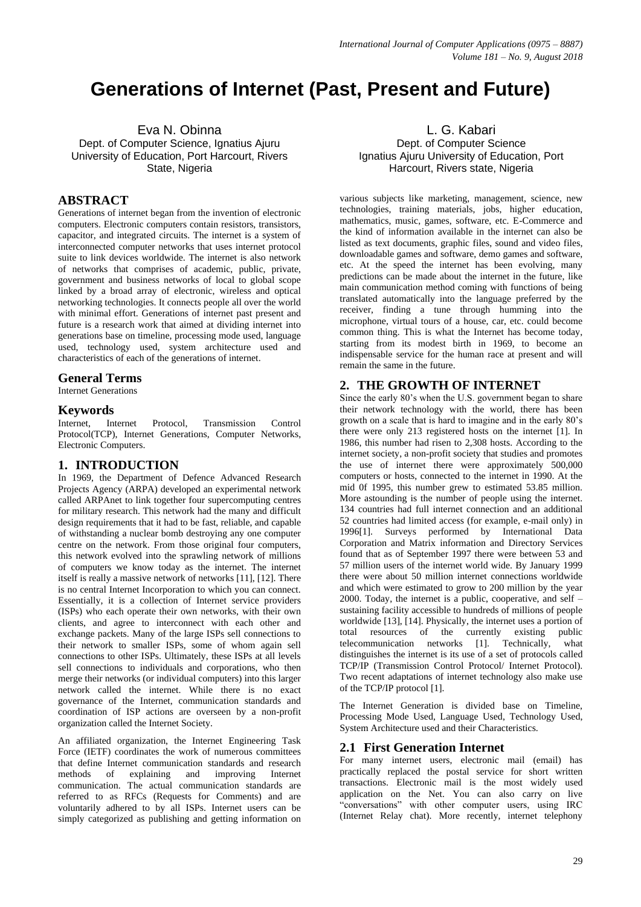# **Generations of Internet (Past, Present and Future)**

Eva N. Obinna Dept. of Computer Science, Ignatius Ajuru University of Education, Port Harcourt, Rivers State, Nigeria

# **ABSTRACT**

Generations of internet began from the invention of electronic computers. Electronic computers contain resistors, transistors, capacitor, and integrated circuits. The internet is a system of interconnected computer networks that uses internet protocol suite to link devices worldwide. The internet is also network of networks that comprises of academic, public, private, government and business networks of local to global scope linked by a broad array of electronic, wireless and optical networking technologies. It connects people all over the world with minimal effort. Generations of internet past present and future is a research work that aimed at dividing internet into generations base on timeline, processing mode used, language used, technology used, system architecture used and characteristics of each of the generations of internet.

#### **General Terms**

Internet Generations

#### **Keywords**

Internet, Internet Protocol, Transmission Control Protocol(TCP), Internet Generations, Computer Networks, Electronic Computers.

## **1. INTRODUCTION**

In 1969, the Department of Defence Advanced Research Projects Agency (ARPA) developed an experimental network called ARPAnet to link together four supercomputing centres for military research. This network had the many and difficult design requirements that it had to be fast, reliable, and capable of withstanding a nuclear bomb destroying any one computer centre on the network. From those original four computers, this network evolved into the sprawling network of millions of computers we know today as the internet. The internet itself is really a massive network of networks [11], [12]. There is no central Internet Incorporation to which you can connect. Essentially, it is a collection of Internet service providers (ISPs) who each operate their own networks, with their own clients, and agree to interconnect with each other and exchange packets. Many of the large ISPs sell connections to their network to smaller ISPs, some of whom again sell connections to other ISPs. Ultimately, these ISPs at all levels sell connections to individuals and corporations, who then merge their networks (or individual computers) into this larger network called the internet. While there is no exact governance of the Internet, communication standards and coordination of ISP actions are overseen by a non-profit organization called the Internet Society.

An affiliated organization, the Internet Engineering Task Force (IETF) coordinates the work of numerous committees that define Internet communication standards and research methods of explaining and improving Internet communication. The actual communication standards are referred to as RFCs (Requests for Comments) and are voluntarily adhered to by all ISPs. Internet users can be simply categorized as publishing and getting information on

L. G. Kabari Dept. of Computer Science Ignatius Ajuru University of Education, Port Harcourt, Rivers state, Nigeria

various subjects like marketing, management, science, new technologies, training materials, jobs, higher education, mathematics, music, games, software, etc. E-Commerce and the kind of information available in the internet can also be listed as text documents, graphic files, sound and video files, downloadable games and software, demo games and software, etc. At the speed the internet has been evolving, many predictions can be made about the internet in the future, like main communication method coming with functions of being translated automatically into the language preferred by the receiver, finding a tune through humming into the microphone, virtual tours of a house, car, etc. could become common thing. This is what the Internet has become today, starting from its modest birth in 1969, to become an indispensable service for the human race at present and will remain the same in the future.

## **2. THE GROWTH OF INTERNET**

Since the early 80's when the U.S. government began to share their network technology with the world, there has been growth on a scale that is hard to imagine and in the early 80's there were only 213 registered hosts on the internet [1]. In 1986, this number had risen to 2,308 hosts. According to the internet society, a non-profit society that studies and promotes the use of internet there were approximately 500,000 computers or hosts, connected to the internet in 1990. At the mid 0f 1995, this number grew to estimated 53.85 million. More astounding is the number of people using the internet. 134 countries had full internet connection and an additional 52 countries had limited access (for example, e-mail only) in 1996[1]. Surveys performed by International Data Corporation and Matrix information and Directory Services found that as of September 1997 there were between 53 and 57 million users of the internet world wide. By January 1999 there were about 50 million internet connections worldwide and which were estimated to grow to 200 million by the year 2000. Today, the internet is a public, cooperative, and self – sustaining facility accessible to hundreds of millions of people worldwide [13], [14]. Physically, the internet uses a portion of total resources of the currently existing public<br>telecommunication networks [1]. Technically, what telecommunication networks [1]. Technically, what distinguishes the internet is its use of a set of protocols called TCP/IP (Transmission Control Protocol/ Internet Protocol). Two recent adaptations of internet technology also make use of the TCP/IP protocol [1].

The Internet Generation is divided base on Timeline, Processing Mode Used, Language Used, Technology Used, System Architecture used and their Characteristics.

## **2.1 First Generation Internet**

For many internet users, electronic mail (email) has practically replaced the postal service for short written transactions. Electronic mail is the most widely used application on the Net. You can also carry on live "conversations" with other computer users, using IRC (Internet Relay chat). More recently, internet telephony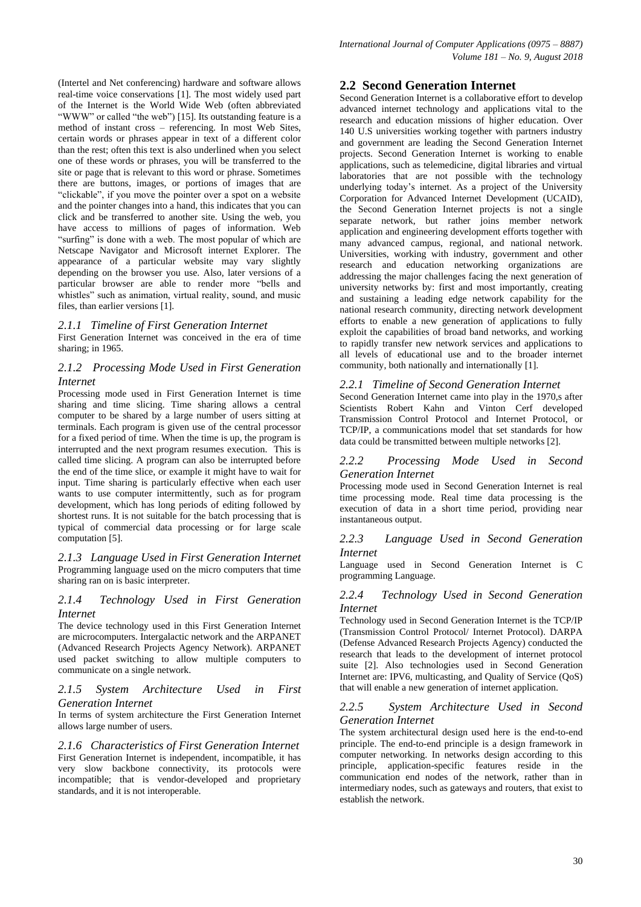(Intertel and Net conferencing) hardware and software allows real-time voice conservations [1]. The most widely used part of the Internet is the World Wide Web (often abbreviated "WWW" or called "the web") [15]. Its outstanding feature is a method of instant cross – referencing. In most Web Sites, certain words or phrases appear in text of a different color than the rest; often this text is also underlined when you select one of these words or phrases, you will be transferred to the site or page that is relevant to this word or phrase. Sometimes there are buttons, images, or portions of images that are "clickable", if you move the pointer over a spot on a website and the pointer changes into a hand, this indicates that you can click and be transferred to another site. Using the web, you have access to millions of pages of information. Web "surfing" is done with a web. The most popular of which are Netscape Navigator and Microsoft internet Explorer. The appearance of a particular website may vary slightly depending on the browser you use. Also, later versions of a particular browser are able to render more "bells and whistles" such as animation, virtual reality, sound, and music files, than earlier versions [1].

#### *2.1.1 Timeline of First Generation Internet*

First Generation Internet was conceived in the era of time sharing; in 1965.

#### *2.1.2 Processing Mode Used in First Generation Internet*

Processing mode used in First Generation Internet is time sharing and time slicing. Time sharing allows a central computer to be shared by a large number of users sitting at terminals. Each program is given use of the central processor for a fixed period of time. When the time is up, the program is interrupted and the next program resumes execution. This is called time slicing. A program can also be interrupted before the end of the time slice, or example it might have to wait for input. Time sharing is particularly effective when each user wants to use computer intermittently, such as for program development, which has long periods of editing followed by shortest runs. It is not suitable for the batch processing that is typical of commercial data processing or for large scale computation [5].

*2.1.3 Language Used in First Generation Internet* Programming language used on the micro computers that time sharing ran on is basic interpreter.

#### *2.1.4 Technology Used in First Generation Internet*

The device technology used in this First Generation Internet are microcomputers. Intergalactic network and the ARPANET (Advanced Research Projects Agency Network). ARPANET used packet switching to allow multiple computers to communicate on a single network.

#### *2.1.5 System Architecture Used in First Generation Internet*

In terms of system architecture the First Generation Internet allows large number of users.

*2.1.6 Characteristics of First Generation Internet* First Generation Internet is independent, incompatible, it has very slow backbone connectivity, its protocols were incompatible; that is vendor-developed and proprietary standards, and it is not interoperable.

## **2.2 Second Generation Internet**

Second Generation Internet is a collaborative effort to develop advanced internet technology and applications vital to the research and education missions of higher education. Over 140 U.S universities working together with partners industry and government are leading the Second Generation Internet projects. Second Generation Internet is working to enable applications, such as telemedicine, digital libraries and virtual laboratories that are not possible with the technology underlying today's internet. As a project of the University Corporation for Advanced Internet Development (UCAID), the Second Generation Internet projects is not a single separate network, but rather joins member network application and engineering development efforts together with many advanced campus, regional, and national network. Universities, working with industry, government and other research and education networking organizations are addressing the major challenges facing the next generation of university networks by: first and most importantly, creating and sustaining a leading edge network capability for the national research community, directing network development efforts to enable a new generation of applications to fully exploit the capabilities of broad band networks, and working to rapidly transfer new network services and applications to all levels of educational use and to the broader internet community, both nationally and internationally [1].

#### *2.2.1 Timeline of Second Generation Internet*

Second Generation Internet came into play in the 1970,s after Scientists Robert Kahn and Vinton Cerf developed Transmission Control Protocol and Internet Protocol, or TCP/IP, a communications model that set standards for how data could be transmitted between multiple networks [2].

#### *2.2.2 Processing Mode Used in Second Generation Internet*

Processing mode used in Second Generation Internet is real time processing mode. Real time data processing is the execution of data in a short time period, providing near instantaneous output.

#### *2.2.3 Language Used in Second Generation Internet*

Language used in Second Generation Internet is C programming Language.

#### *2.2.4 Technology Used in Second Generation Internet*

Technology used in Second Generation Internet is the TCP/IP (Transmission Control Protocol/ Internet Protocol). DARPA (Defense Advanced Research Projects Agency) conducted the research that leads to the development of internet protocol suite [2]. Also technologies used in Second Generation Internet are: IPV6, multicasting, and Quality of Service (QoS) that will enable a new generation of internet application.

#### *2.2.5 System Architecture Used in Second Generation Internet*

The system architectural design used here is the end-to-end principle. The end-to-end principle is a design framework in computer networking. In networks design according to this principle, application-specific features reside in the communication end nodes of the network, rather than in intermediary nodes, such as gateways and routers, that exist to establish the network.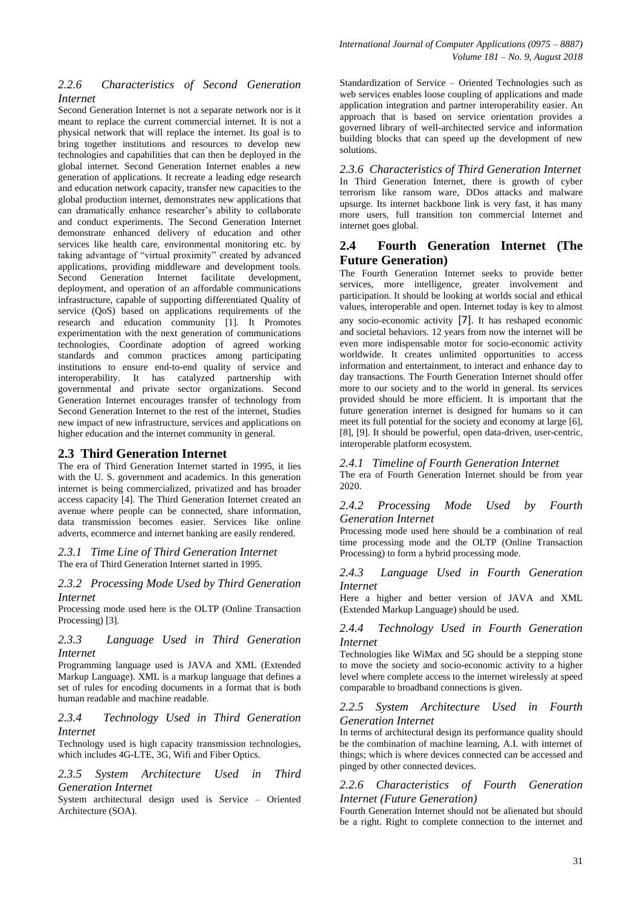#### *2.2.6 Characteristics of Second Generation Internet*

Second Generation Internet is not a separate network nor is it meant to replace the current commercial internet. It is not a physical network that will replace the internet. Its goal is to bring together institutions and resources to develop new technologies and capabilities that can then be deployed in the global internet. Second Generation Internet enables a new generation of applications. It recreate a leading edge research and education network capacity, transfer new capacities to the global production internet, demonstrates new applications that can dramatically enhance researcher's ability to collaborate and conduct experiments. The Second Generation Internet demonstrate enhanced delivery of education and other services like health care, environmental monitoring etc. by taking advantage of "virtual proximity" created by advanced applications, providing middleware and development tools. Second Generation Internet facilitate development, deployment, and operation of an affordable communications infrastructure, capable of supporting differentiated Quality of service (QoS) based on applications requirements of the research and education community [1]. It Promotes experimentation with the next generation of communications technologies, Coordinate adoption of agreed working standards and common practices among participating institutions to ensure end-to-end quality of service and interoperability. It has catalyzed partnership with governmental and private sector organizations. Second Generation Internet encourages transfer of technology from Second Generation Internet to the rest of the internet, Studies new impact of new infrastructure, services and applications on higher education and the internet community in general.

## **2.3 Third Generation Internet**

The era of Third Generation Internet started in 1995, it lies with the U. S. government and academics. In this generation internet is being commercialized, privatized and has broader access capacity [4]. The Third Generation Internet created an avenue where people can be connected, share information, data transmission becomes easier. Services like online adverts, ecommerce and internet banking are easily rendered.

*2.3.1 Time Line of Third Generation Internet* The era of Third Generation Internet started in 1995.

*2.3.2 Processing Mode Used by Third Generation Internet*

Processing mode used here is the OLTP (Online Transaction Processing) [3].

*2.3.3 Language Used in Third Generation Internet*

Programming language used is JAVA and XML (Extended Markup Language). XML is a markup language that defines a set of rules for encoding documents in a format that is both human readable and machine readable.

*2.3.4 Technology Used in Third Generation Internet*

Technology used is high capacity transmission technologies, which includes 4G-LTE, 3G, Wifi and Fiber Optics.

*2.3.5 System Architecture Used in Third Generation Internet*

System architectural design used is Service – Oriented Architecture (SOA).

Standardization of Service – Oriented Technologies such as web services enables loose coupling of applications and made application integration and partner interoperability easier. An approach that is based on service orientation provides a governed library of well-architected service and information building blocks that can speed up the development of new solutions.

*2.3.6 Characteristics of Third Generation Internet* In Third Generation Internet, there is growth of cyber terrorism like ransom ware, DDos attacks and malware upsurge. Its internet backbone link is very fast, it has many more users, full transition ton commercial Internet and internet goes global.

# **2.4 Fourth Generation Internet (The Future Generation)**

The Fourth Generation Internet seeks to provide better services, more intelligence, greater involvement and participation. It should be looking at worlds social and ethical values, interoperable and open. Internet today is key to almost any socio-economic activity [7]. It has reshaped economic and societal behaviors. 12 years from now the internet will be even more indispensable motor for socio-economic activity worldwide. It creates unlimited opportunities to access information and entertainment, to interact and enhance day to day transactions. The Fourth Generation Internet should offer more to our society and to the world in general. Its services provided should be more efficient. It is important that the future generation internet is designed for humans so it can meet its full potential for the society and economy at large [6], [8], [9]. It should be powerful, open data-driven, user-centric, interoperable platform ecosystem.

#### *2.4.1 Timeline of Fourth Generation Internet*

The era of Fourth Generation Internet should be from year 2020.

#### *2.4.2 Processing Mode Used by Fourth Generation Internet*

Processing mode used here should be a combination of real time processing mode and the OLTP (Online Transaction Processing) to form a hybrid processing mode.

#### *2.4.3 Language Used in Fourth Generation Internet*

Here a higher and better version of JAVA and XML (Extended Markup Language) should be used.

#### *2.4.4 Technology Used in Fourth Generation Internet*

Technologies like WiMax and 5G should be a stepping stone to move the society and socio-economic activity to a higher level where complete access to the internet wirelessly at speed comparable to broadband connections is given.

#### *2.2.5 System Architecture Used in Fourth Generation Internet*

In terms of architectural design its performance quality should be the combination of machine learning, A.I. with internet of things; which is where devices connected can be accessed and pinged by other connected devices.

#### *2.2.6 Characteristics of Fourth Generation Internet (Future Generation)*

Fourth Generation Internet should not be alienated but should be a right. Right to complete connection to the internet and